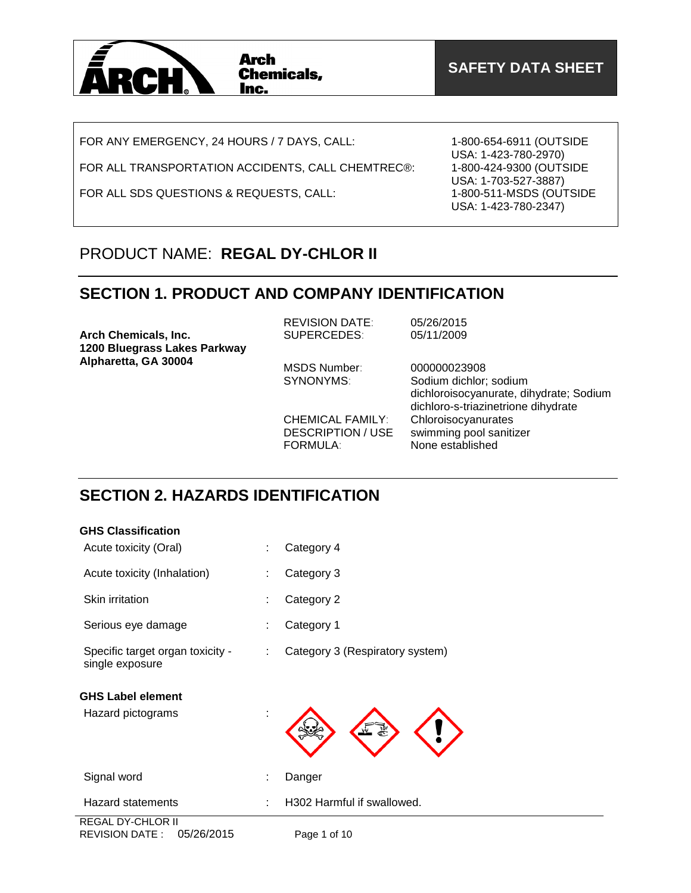

FOR ANY EMERGENCY, 24 HOURS / 7 DAYS, CALL:

FOR ALL TRANSPORTATION ACCIDENTS, CALL CHEMTREC®:

FOR ALL SDS QUESTIONS & REQUESTS, CALL:

1-800-654-6911 (OUTSIDE USA: 1-423-780-2970) 1-800-424-9300 (OUTSIDE USA: 1-703-527-3887) 1-800-511-MSDS (OUTSIDE USA: 1-423-780-2347)

## PRODUCT NAME: **REGAL DY-CHLOR II**

### **SECTION 1. PRODUCT AND COMPANY IDENTIFICATION**

| Arch Chemicals, Inc.<br>1200 Bluegrass Lakes Parkway | <b>REVISION DATE:</b><br><b>SUPERCEDES:</b>                            | 05/26/2015<br>05/11/2009                                                                                                 |
|------------------------------------------------------|------------------------------------------------------------------------|--------------------------------------------------------------------------------------------------------------------------|
| Alpharetta, GA 30004                                 | MSDS Number:<br>SYNONYMS:                                              | 000000023908<br>Sodium dichlor; sodium<br>dichloroisocyanurate, dihydrate; Sodium<br>dichloro-s-triazinetrione dihydrate |
|                                                      | <b>CHEMICAL FAMILY:</b><br><b>DESCRIPTION / USE</b><br><b>FORMULA:</b> | Chloroisocyanurates<br>swimming pool sanitizer<br>None established                                                       |

### **SECTION 2. HAZARDS IDENTIFICATION**

| <b>GHS Classification</b>                                 |   |                                 |
|-----------------------------------------------------------|---|---------------------------------|
| Acute toxicity (Oral)                                     | ÷ | Category 4                      |
| Acute toxicity (Inhalation)                               |   | Category 3                      |
| Skin irritation                                           |   | Category 2                      |
| Serious eye damage                                        |   | Category 1                      |
| Specific target organ toxicity -<br>single exposure       | ÷ | Category 3 (Respiratory system) |
| <b>GHS Label element</b>                                  |   |                                 |
| Hazard pictograms                                         |   |                                 |
| Signal word                                               |   | Danger                          |
| <b>Hazard statements</b>                                  |   | H302 Harmful if swallowed.      |
| <b>REGAL DY-CHLOR II</b><br>05/26/2015<br>REVISION DATE : |   | Page 1 of 10                    |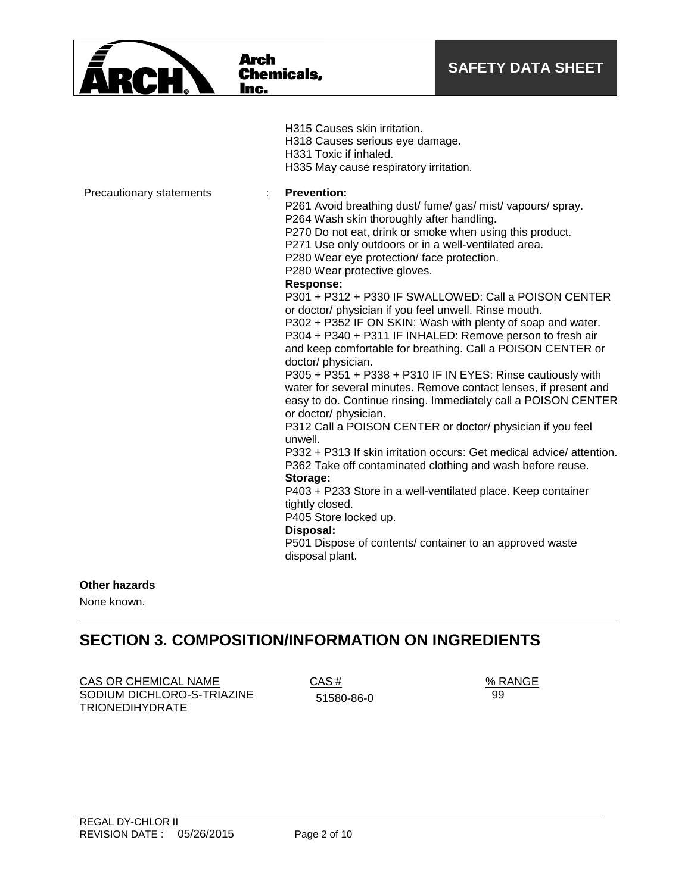|                          | <b>Arch</b><br><b>Chemicals,</b><br>Inc.                                                                                                                                                                                                                                                                                                                                                                                                                                                                                                                                                                                                                                                 | <b>SAFETY DATA SHEET</b>                                                                                                                                                                                                                                                                                                                                                                                                                                                                                                                                                                                                                                                                                                  |
|--------------------------|------------------------------------------------------------------------------------------------------------------------------------------------------------------------------------------------------------------------------------------------------------------------------------------------------------------------------------------------------------------------------------------------------------------------------------------------------------------------------------------------------------------------------------------------------------------------------------------------------------------------------------------------------------------------------------------|---------------------------------------------------------------------------------------------------------------------------------------------------------------------------------------------------------------------------------------------------------------------------------------------------------------------------------------------------------------------------------------------------------------------------------------------------------------------------------------------------------------------------------------------------------------------------------------------------------------------------------------------------------------------------------------------------------------------------|
| Precautionary statements | H315 Causes skin irritation.<br>H318 Causes serious eye damage.<br>H331 Toxic if inhaled.<br>H335 May cause respiratory irritation.<br><b>Prevention:</b><br>÷<br>P261 Avoid breathing dust/ fume/ gas/ mist/ vapours/ spray.<br>P264 Wash skin thoroughly after handling.<br>P270 Do not eat, drink or smoke when using this product.<br>P271 Use only outdoors or in a well-ventilated area.<br>P280 Wear eye protection/ face protection.<br>P280 Wear protective gloves.<br><b>Response:</b><br>or doctor/ physician if you feel unwell. Rinse mouth.<br>doctor/ physician.<br>or doctor/ physician.<br>unwell.<br>Storage:<br>tightly closed.<br>P405 Store locked up.<br>Disposal: | P301 + P312 + P330 IF SWALLOWED: Call a POISON CENTER<br>P302 + P352 IF ON SKIN: Wash with plenty of soap and water.<br>P304 + P340 + P311 IF INHALED: Remove person to fresh air<br>and keep comfortable for breathing. Call a POISON CENTER or<br>P305 + P351 + P338 + P310 IF IN EYES: Rinse cautiously with<br>water for several minutes. Remove contact lenses, if present and<br>easy to do. Continue rinsing. Immediately call a POISON CENTER<br>P312 Call a POISON CENTER or doctor/ physician if you feel<br>P332 + P313 If skin irritation occurs: Get medical advice/attention.<br>P362 Take off contaminated clothing and wash before reuse.<br>P403 + P233 Store in a well-ventilated place. Keep container |
|                          | P501 Dispose of contents/ container to an approved waste<br>disposal plant.                                                                                                                                                                                                                                                                                                                                                                                                                                                                                                                                                                                                              |                                                                                                                                                                                                                                                                                                                                                                                                                                                                                                                                                                                                                                                                                                                           |

### **Other hazards**

None known.

## **SECTION 3. COMPOSITION/INFORMATION ON INGREDIENTS**

 $\overline{CAS}$  OR CHEMICAL NAME  $\overline{CAS}$  #  $\overline{CAS}$   $\overline{CAS}$   $\overline{CAS}$   $\overline{CAS}$   $\overline{CAS}$   $\overline{CAS}$   $\overline{CAS}$   $\overline{CAS}$   $\overline{CAS}$   $\overline{CAS}$   $\overline{CAS}$   $\overline{CAS}$   $\overline{CAS}$   $\overline{CAS}$   $\overline{CAS}$   $\overline{CAS}$   $\overline{CAS}$   $\overline{CAS}$   $\$ SODIUM DICHLORO-S-TRIAZINE TRIONEDIHYDRATE

51580-86-0

99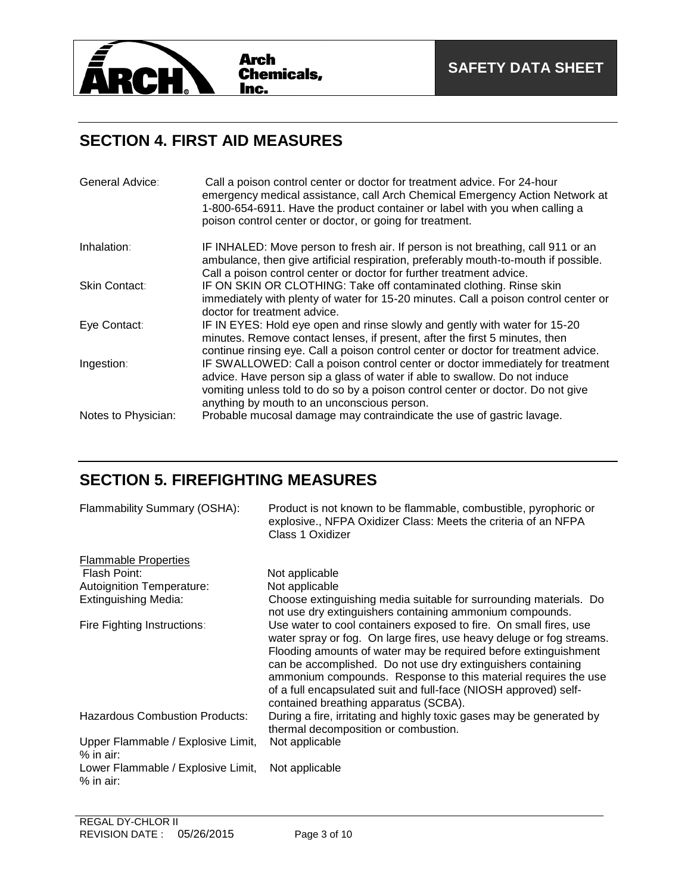

## **SECTION 4. FIRST AID MEASURES**

| General Advice:     | Call a poison control center or doctor for treatment advice. For 24-hour<br>emergency medical assistance, call Arch Chemical Emergency Action Network at<br>1-800-654-6911. Have the product container or label with you when calling a<br>poison control center or doctor, or going for treatment. |
|---------------------|-----------------------------------------------------------------------------------------------------------------------------------------------------------------------------------------------------------------------------------------------------------------------------------------------------|
| Inhalation:         | IF INHALED: Move person to fresh air. If person is not breathing, call 911 or an<br>ambulance, then give artificial respiration, preferably mouth-to-mouth if possible.<br>Call a poison control center or doctor for further treatment advice.                                                     |
| Skin Contact:       | IF ON SKIN OR CLOTHING: Take off contaminated clothing. Rinse skin<br>immediately with plenty of water for 15-20 minutes. Call a poison control center or<br>doctor for treatment advice.                                                                                                           |
| Eye Contact:        | IF IN EYES: Hold eye open and rinse slowly and gently with water for 15-20<br>minutes. Remove contact lenses, if present, after the first 5 minutes, then<br>continue rinsing eye. Call a poison control center or doctor for treatment advice.                                                     |
| Ingestion:          | IF SWALLOWED: Call a poison control center or doctor immediately for treatment<br>advice. Have person sip a glass of water if able to swallow. Do not induce<br>vomiting unless told to do so by a poison control center or doctor. Do not give<br>anything by mouth to an unconscious person.      |
| Notes to Physician: | Probable mucosal damage may contraindicate the use of gastric lavage.                                                                                                                                                                                                                               |

## **SECTION 5. FIREFIGHTING MEASURES**

| Flammability Summary (OSHA):                      | Product is not known to be flammable, combustible, pyrophoric or<br>explosive., NFPA Oxidizer Class: Meets the criteria of an NFPA<br>Class 1 Oxidizer                                                                                                                                                                                                                                                                                                      |
|---------------------------------------------------|-------------------------------------------------------------------------------------------------------------------------------------------------------------------------------------------------------------------------------------------------------------------------------------------------------------------------------------------------------------------------------------------------------------------------------------------------------------|
| <b>Flammable Properties</b>                       |                                                                                                                                                                                                                                                                                                                                                                                                                                                             |
| Flash Point:                                      | Not applicable                                                                                                                                                                                                                                                                                                                                                                                                                                              |
| Autoignition Temperature:                         | Not applicable                                                                                                                                                                                                                                                                                                                                                                                                                                              |
| <b>Extinguishing Media:</b>                       | Choose extinguishing media suitable for surrounding materials. Do<br>not use dry extinguishers containing ammonium compounds.                                                                                                                                                                                                                                                                                                                               |
| Fire Fighting Instructions:                       | Use water to cool containers exposed to fire. On small fires, use<br>water spray or fog. On large fires, use heavy deluge or fog streams.<br>Flooding amounts of water may be required before extinguishment<br>can be accomplished. Do not use dry extinguishers containing<br>ammonium compounds. Response to this material requires the use<br>of a full encapsulated suit and full-face (NIOSH approved) self-<br>contained breathing apparatus (SCBA). |
| <b>Hazardous Combustion Products:</b>             | During a fire, irritating and highly toxic gases may be generated by<br>thermal decomposition or combustion.                                                                                                                                                                                                                                                                                                                                                |
| Upper Flammable / Explosive Limit,<br>$%$ in air: | Not applicable                                                                                                                                                                                                                                                                                                                                                                                                                                              |
| Lower Flammable / Explosive Limit,<br>$%$ in air: | Not applicable                                                                                                                                                                                                                                                                                                                                                                                                                                              |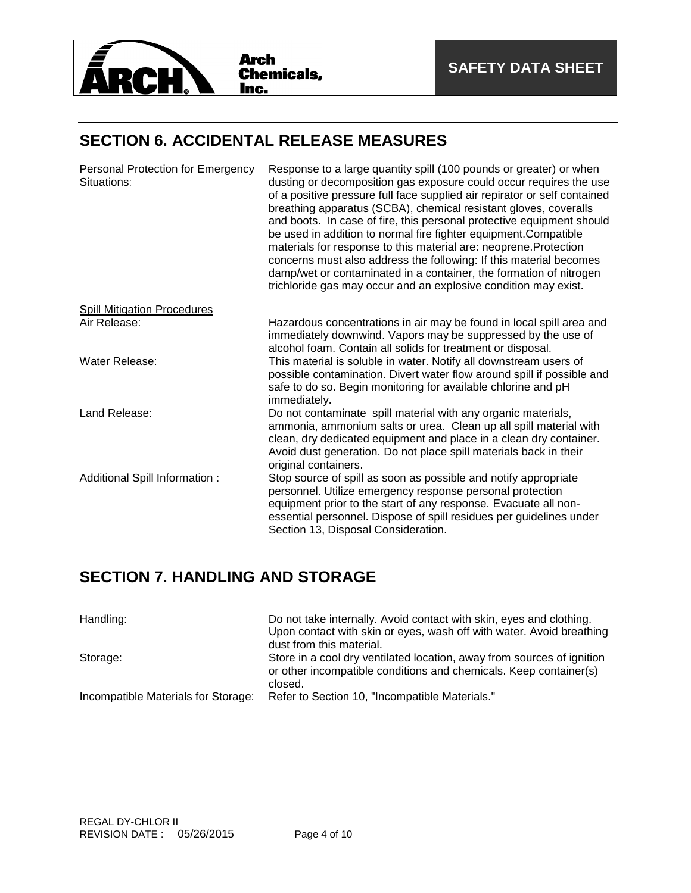

### **SECTION 6. ACCIDENTAL RELEASE MEASURES**

| Personal Protection for Emergency<br>Situations: | Response to a large quantity spill (100 pounds or greater) or when<br>dusting or decomposition gas exposure could occur requires the use<br>of a positive pressure full face supplied air repirator or self contained<br>breathing apparatus (SCBA), chemical resistant gloves, coveralls<br>and boots. In case of fire, this personal protective equipment should<br>be used in addition to normal fire fighter equipment. Compatible<br>materials for response to this material are: neoprene. Protection<br>concerns must also address the following: If this material becomes<br>damp/wet or contaminated in a container, the formation of nitrogen<br>trichloride gas may occur and an explosive condition may exist. |
|--------------------------------------------------|----------------------------------------------------------------------------------------------------------------------------------------------------------------------------------------------------------------------------------------------------------------------------------------------------------------------------------------------------------------------------------------------------------------------------------------------------------------------------------------------------------------------------------------------------------------------------------------------------------------------------------------------------------------------------------------------------------------------------|
| <b>Spill Mitigation Procedures</b>               |                                                                                                                                                                                                                                                                                                                                                                                                                                                                                                                                                                                                                                                                                                                            |
| Air Release:                                     | Hazardous concentrations in air may be found in local spill area and<br>immediately downwind. Vapors may be suppressed by the use of<br>alcohol foam. Contain all solids for treatment or disposal.                                                                                                                                                                                                                                                                                                                                                                                                                                                                                                                        |
| Water Release:                                   | This material is soluble in water. Notify all downstream users of<br>possible contamination. Divert water flow around spill if possible and<br>safe to do so. Begin monitoring for available chlorine and pH<br>immediately.                                                                                                                                                                                                                                                                                                                                                                                                                                                                                               |
| Land Release:                                    | Do not contaminate spill material with any organic materials,<br>ammonia, ammonium salts or urea. Clean up all spill material with<br>clean, dry dedicated equipment and place in a clean dry container.<br>Avoid dust generation. Do not place spill materials back in their<br>original containers.                                                                                                                                                                                                                                                                                                                                                                                                                      |
| Additional Spill Information :                   | Stop source of spill as soon as possible and notify appropriate<br>personnel. Utilize emergency response personal protection<br>equipment prior to the start of any response. Evacuate all non-<br>essential personnel. Dispose of spill residues per guidelines under<br>Section 13, Disposal Consideration.                                                                                                                                                                                                                                                                                                                                                                                                              |

### **SECTION 7. HANDLING AND STORAGE**

| Handling:                           | Do not take internally. Avoid contact with skin, eyes and clothing.<br>Upon contact with skin or eyes, wash off with water. Avoid breathing<br>dust from this material. |
|-------------------------------------|-------------------------------------------------------------------------------------------------------------------------------------------------------------------------|
| Storage:                            | Store in a cool dry ventilated location, away from sources of ignition<br>or other incompatible conditions and chemicals. Keep container(s)<br>closed.                  |
| Incompatible Materials for Storage: | Refer to Section 10, "Incompatible Materials."                                                                                                                          |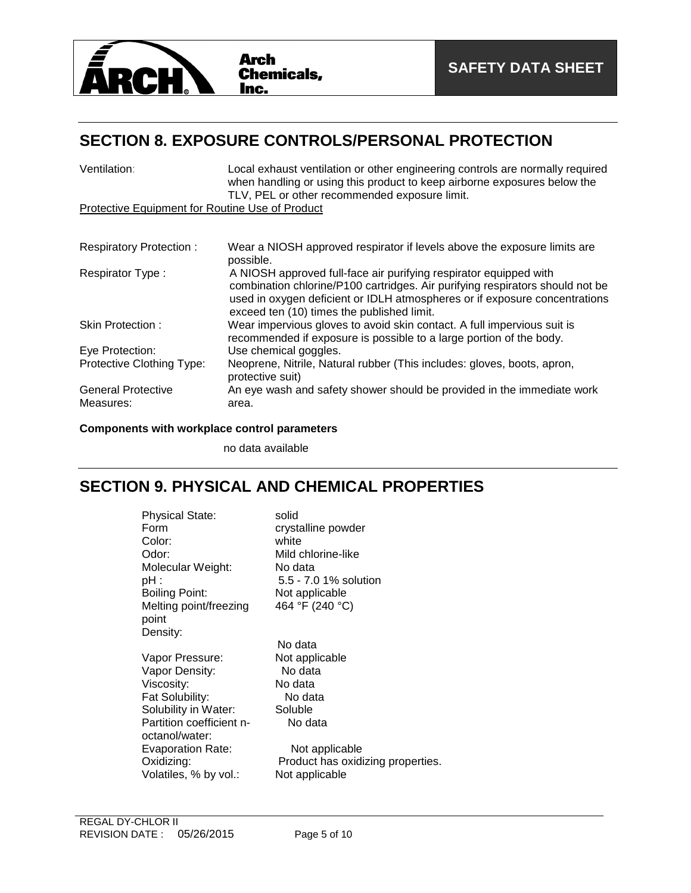

## **SECTION 8. EXPOSURE CONTROLS/PERSONAL PROTECTION**

| Ventilation:                                    | Local exhaust ventilation or other engineering controls are normally required<br>when handling or using this product to keep airborne exposures below the<br>TLV, PEL or other recommended exposure limit.                                                                     |
|-------------------------------------------------|--------------------------------------------------------------------------------------------------------------------------------------------------------------------------------------------------------------------------------------------------------------------------------|
| Protective Equipment for Routine Use of Product |                                                                                                                                                                                                                                                                                |
|                                                 |                                                                                                                                                                                                                                                                                |
| <b>Respiratory Protection:</b>                  | Wear a NIOSH approved respirator if levels above the exposure limits are<br>possible.                                                                                                                                                                                          |
| Respirator Type:                                | A NIOSH approved full-face air purifying respirator equipped with<br>combination chlorine/P100 cartridges. Air purifying respirators should not be<br>used in oxygen deficient or IDLH atmospheres or if exposure concentrations<br>exceed ten (10) times the published limit. |
| Skin Protection:                                | Wear impervious gloves to avoid skin contact. A full impervious suit is<br>recommended if exposure is possible to a large portion of the body.                                                                                                                                 |
| Eye Protection:                                 | Use chemical goggles.                                                                                                                                                                                                                                                          |
| Protective Clothing Type:                       | Neoprene, Nitrile, Natural rubber (This includes: gloves, boots, apron,<br>protective suit)                                                                                                                                                                                    |
| <b>General Protective</b><br>Measures:          | An eye wash and safety shower should be provided in the immediate work<br>area.                                                                                                                                                                                                |

### **Components with workplace control parameters**

no data available

### **SECTION 9. PHYSICAL AND CHEMICAL PROPERTIES**

| <b>Physical State:</b><br>Form<br>Color:<br>Odor:<br>Molecular Weight:<br>pH : | solid<br>crystalline powder<br>white<br>Mild chlorine-like<br>No data<br>5.5 - 7.0 1% solution |
|--------------------------------------------------------------------------------|------------------------------------------------------------------------------------------------|
| <b>Boiling Point:</b>                                                          | Not applicable                                                                                 |
| Melting point/freezing                                                         | 464 °F (240 °C)                                                                                |
| point                                                                          |                                                                                                |
| Density:                                                                       |                                                                                                |
|                                                                                | No data                                                                                        |
| Vapor Pressure:                                                                | Not applicable                                                                                 |
| Vapor Density:                                                                 | No data                                                                                        |
| Viscosity:                                                                     | No data                                                                                        |
| Fat Solubility:                                                                | No data                                                                                        |
| Solubility in Water:                                                           | Soluble                                                                                        |
| Partition coefficient n-<br>octanol/water:                                     | No data                                                                                        |
| Evaporation Rate:                                                              | Not applicable                                                                                 |
| Oxidizing:<br>Volatiles, % by vol.:                                            | Product has oxidizing properties.<br>Not applicable                                            |
|                                                                                |                                                                                                |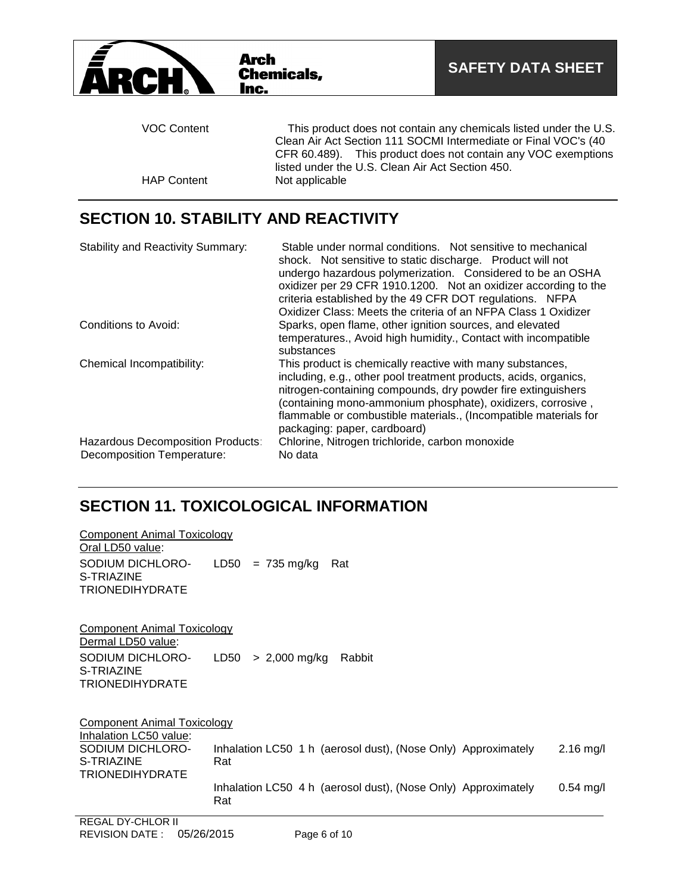

## **SECTION 10. STABILITY AND REACTIVITY**

| <b>Stability and Reactivity Summary:</b>                        | Stable under normal conditions. Not sensitive to mechanical<br>shock. Not sensitive to static discharge. Product will not<br>undergo hazardous polymerization. Considered to be an OSHA<br>oxidizer per 29 CFR 1910.1200. Not an oxidizer according to the<br>criteria established by the 49 CFR DOT regulations. NFPA<br>Oxidizer Class: Meets the criteria of an NFPA Class 1 Oxidizer |
|-----------------------------------------------------------------|------------------------------------------------------------------------------------------------------------------------------------------------------------------------------------------------------------------------------------------------------------------------------------------------------------------------------------------------------------------------------------------|
| Conditions to Avoid:                                            | Sparks, open flame, other ignition sources, and elevated<br>temperatures., Avoid high humidity., Contact with incompatible<br>substances                                                                                                                                                                                                                                                 |
| Chemical Incompatibility:                                       | This product is chemically reactive with many substances,<br>including, e.g., other pool treatment products, acids, organics,<br>nitrogen-containing compounds, dry powder fire extinguishers<br>(containing mono-ammonium phosphate), oxidizers, corrosive,<br>flammable or combustible materials., (Incompatible materials for<br>packaging: paper, cardboard)                         |
| Hazardous Decomposition Products:<br>Decomposition Temperature: | Chlorine, Nitrogen trichloride, carbon monoxide<br>No data                                                                                                                                                                                                                                                                                                                               |

# **SECTION 11. TOXICOLOGICAL INFORMATION**

| Component Animal Toxicology        |                                                                      |             |
|------------------------------------|----------------------------------------------------------------------|-------------|
| Oral LD50 value:                   |                                                                      |             |
| SODIUM DICHLORO-                   | LD50<br>$= 735$ mg/kg<br>Rat                                         |             |
| S-TRIAZINE                         |                                                                      |             |
| <b>TRIONEDIHYDRATE</b>             |                                                                      |             |
| Component Animal Toxicology        |                                                                      |             |
| Dermal LD50 value:                 |                                                                      |             |
| SODIUM DICHLORO-                   | LD50<br>$> 2,000$ mg/kg<br>Rabbit                                    |             |
| S-TRIAZINE                         |                                                                      |             |
| <b>TRIONEDIHYDRATE</b>             |                                                                      |             |
| <b>Component Animal Toxicology</b> |                                                                      |             |
| Inhalation LC50 value:             |                                                                      |             |
| SODIUM DICHLORO-<br>S-TRIAZINE     | Inhalation LC50 1 h (aerosol dust), (Nose Only) Approximately<br>Rat | $2.16$ mg/l |
| <b>TRIONEDIHYDRATE</b>             |                                                                      |             |
|                                    | Inhalation LC50 4 h (aerosol dust), (Nose Only) Approximately        | $0.54$ mg/l |
|                                    | Rat                                                                  |             |
| REGAL DY-CHLOR II                  |                                                                      |             |

Component Animal Toxicology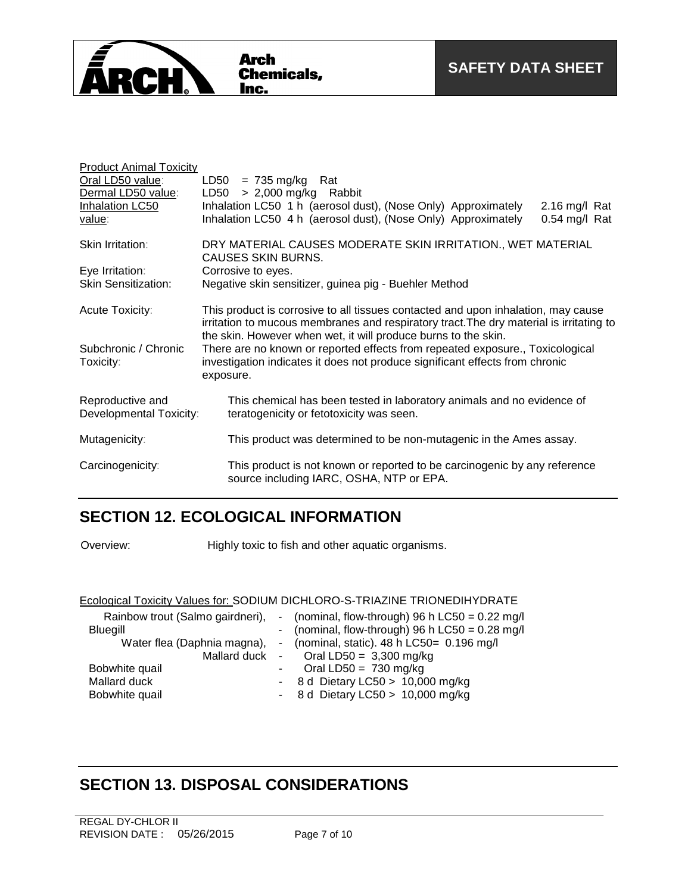

| <b>Product Animal Toxicity</b><br>Oral LD50 value:<br>Dermal LD50 value:<br>Inhalation LC50<br>value: | LD50 = 735 mg/kg Rat<br>> 2,000 mg/kg Rabbit<br>LD50<br>Inhalation LC50 1 h (aerosol dust), (Nose Only) Approximately<br>2.16 mg/l Rat<br>Inhalation LC50 4 h (aerosol dust), (Nose Only) Approximately<br>$0.54$ mg/l Rat                     |  |
|-------------------------------------------------------------------------------------------------------|------------------------------------------------------------------------------------------------------------------------------------------------------------------------------------------------------------------------------------------------|--|
| <b>Skin Irritation:</b>                                                                               | DRY MATERIAL CAUSES MODERATE SKIN IRRITATION., WET MATERIAL<br><b>CAUSES SKIN BURNS.</b>                                                                                                                                                       |  |
| Eye Irritation:                                                                                       | Corrosive to eyes.                                                                                                                                                                                                                             |  |
| <b>Skin Sensitization:</b>                                                                            | Negative skin sensitizer, guinea pig - Buehler Method                                                                                                                                                                                          |  |
|                                                                                                       |                                                                                                                                                                                                                                                |  |
| Acute Toxicity:                                                                                       | This product is corrosive to all tissues contacted and upon inhalation, may cause<br>irritation to mucous membranes and respiratory tract. The dry material is irritating to<br>the skin. However when wet, it will produce burns to the skin. |  |
| Subchronic / Chronic<br>Toxicity:                                                                     | There are no known or reported effects from repeated exposure., Toxicological<br>investigation indicates it does not produce significant effects from chronic<br>exposure.                                                                     |  |
| Reproductive and<br>Developmental Toxicity:                                                           | This chemical has been tested in laboratory animals and no evidence of<br>teratogenicity or fetotoxicity was seen.                                                                                                                             |  |
| Mutagenicity:                                                                                         | This product was determined to be non-mutagenic in the Ames assay.                                                                                                                                                                             |  |
| Carcinogenicity:                                                                                      | This product is not known or reported to be carcinogenic by any reference<br>source including IARC, OSHA, NTP or EPA.                                                                                                                          |  |

## **SECTION 12. ECOLOGICAL INFORMATION**

Overview: Highly toxic to fish and other aquatic organisms.

### Ecological Toxicity Values for: SODIUM DICHLORO-S-TRIAZINE TRIONEDIHYDRATE

| Rainbow trout (Salmo gairdneri),<br><b>Bluegill</b><br>Water flea (Daphnia magna), |            | - (nominal, flow-through) 96 h LC50 = $0.22$ mg/l<br>- (nominal, flow-through) 96 h LC50 = $0.28$ mg/l<br>- (nominal, static). $48 h$ LC50= 0.196 mg/l<br>Mallard duck - Oral LD50 = $3,300$ mg/kg |
|------------------------------------------------------------------------------------|------------|----------------------------------------------------------------------------------------------------------------------------------------------------------------------------------------------------|
| Bobwhite quail<br>Mallard duck<br>Bobwhite quail                                   | $\sim 100$ | Oral LD50 = $730 \text{ mg/kg}$<br>- 8 d Dietary LC50 > $10,000$ mg/kg<br>- 8 d Dietary LC50 > $10,000$ mg/kg                                                                                      |

## **SECTION 13. DISPOSAL CONSIDERATIONS**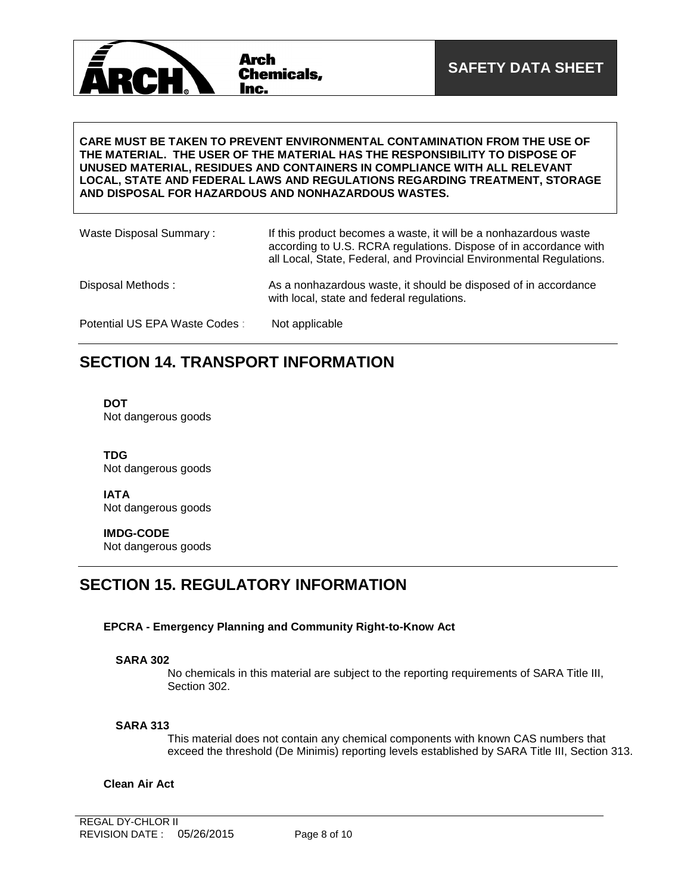

#### **CARE MUST BE TAKEN TO PREVENT ENVIRONMENTAL CONTAMINATION FROM THE USE OF THE MATERIAL. THE USER OF THE MATERIAL HAS THE RESPONSIBILITY TO DISPOSE OF UNUSED MATERIAL, RESIDUES AND CONTAINERS IN COMPLIANCE WITH ALL RELEVANT LOCAL, STATE AND FEDERAL LAWS AND REGULATIONS REGARDING TREATMENT, STORAGE AND DISPOSAL FOR HAZARDOUS AND NONHAZARDOUS WASTES.**

| Waste Disposal Summary:       | If this product becomes a waste, it will be a nonhazardous waste<br>according to U.S. RCRA regulations. Dispose of in accordance with<br>all Local, State, Federal, and Provincial Environmental Regulations. |
|-------------------------------|---------------------------------------------------------------------------------------------------------------------------------------------------------------------------------------------------------------|
| Disposal Methods:             | As a nonhazardous waste, it should be disposed of in accordance<br>with local, state and federal regulations.                                                                                                 |
| Potential US EPA Waste Codes: | Not applicable                                                                                                                                                                                                |

### **SECTION 14. TRANSPORT INFORMATION**

**DOT** Not dangerous goods

**TDG** Not dangerous goods

**IATA** Not dangerous goods

**IMDG-CODE** Not dangerous goods

### **SECTION 15. REGULATORY INFORMATION**

### **EPCRA - Emergency Planning and Community Right-to-Know Act**

#### **SARA 302**

No chemicals in this material are subject to the reporting requirements of SARA Title III, Section 302.

### **SARA 313**

This material does not contain any chemical components with known CAS numbers that exceed the threshold (De Minimis) reporting levels established by SARA Title III, Section 313.

#### **Clean Air Act**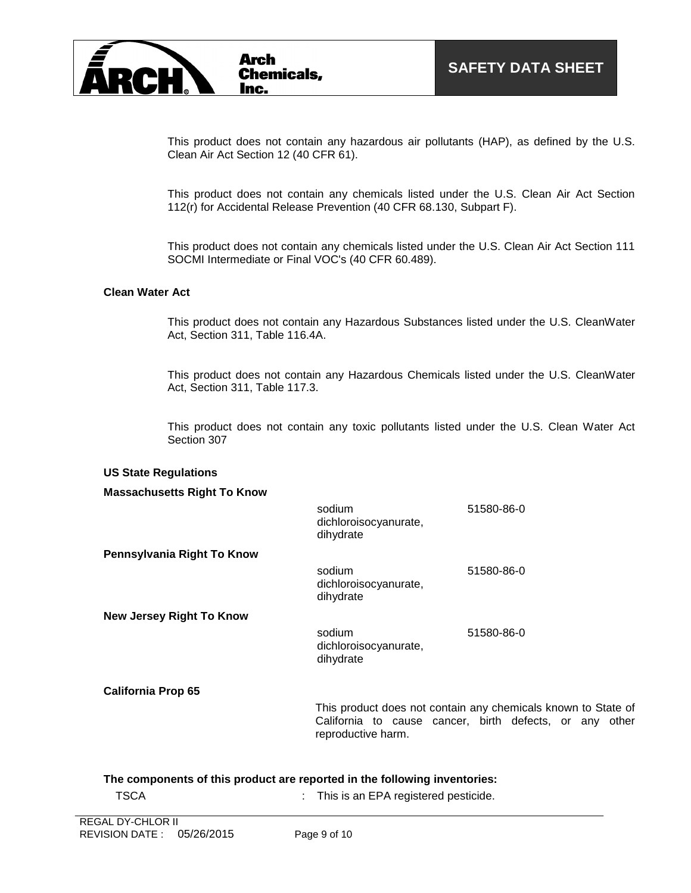

This product does not contain any hazardous air pollutants (HAP), as defined by the U.S. Clean Air Act Section 12 (40 CFR 61).

This product does not contain any chemicals listed under the U.S. Clean Air Act Section 112(r) for Accidental Release Prevention (40 CFR 68.130, Subpart F).

This product does not contain any chemicals listed under the U.S. Clean Air Act Section 111 SOCMI Intermediate or Final VOC's (40 CFR 60.489).

#### **Clean Water Act**

This product does not contain any Hazardous Substances listed under the U.S. CleanWater Act, Section 311, Table 116.4A.

This product does not contain any Hazardous Chemicals listed under the U.S. CleanWater Act, Section 311, Table 117.3.

This product does not contain any toxic pollutants listed under the U.S. Clean Water Act Section 307

#### **US State Regulations**

| <b>Massachusetts Right To Know</b> |                                                                                                                                                |            |  |
|------------------------------------|------------------------------------------------------------------------------------------------------------------------------------------------|------------|--|
|                                    | sodium<br>dichloroisocyanurate,<br>dihydrate                                                                                                   | 51580-86-0 |  |
| Pennsylvania Right To Know         |                                                                                                                                                |            |  |
|                                    | sodium<br>dichloroisocyanurate,<br>dihydrate                                                                                                   | 51580-86-0 |  |
| <b>New Jersey Right To Know</b>    |                                                                                                                                                |            |  |
|                                    | sodium<br>dichloroisocyanurate,<br>dihydrate                                                                                                   | 51580-86-0 |  |
| <b>California Prop 65</b>          |                                                                                                                                                |            |  |
|                                    | This product does not contain any chemicals known to State of<br>California to cause cancer, birth defects, or any other<br>reproductive harm. |            |  |

#### **The components of this product are reported in the following inventories:**

TSCA : This is an EPA registered pesticide.